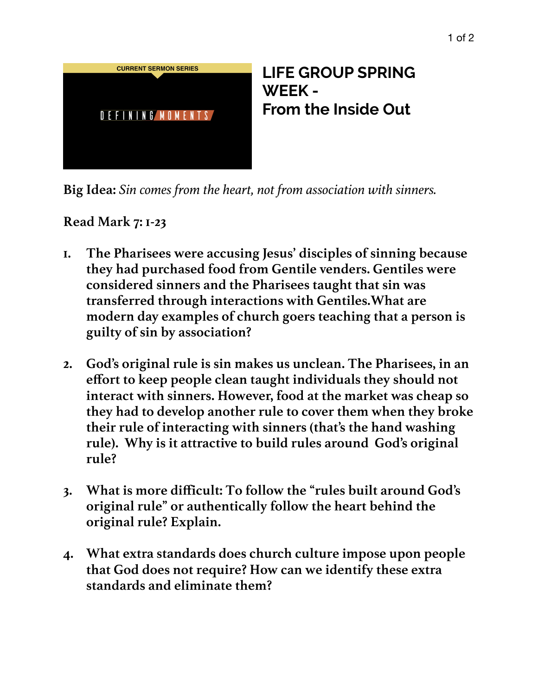

**Big Idea:** *Sin comes from the heart, not from association with sinners.* 

**Read Mark 7: 1-23**

- **1. The Pharisees were accusing Jesus' disciples of sinning because they had purchased food from Gentile venders. Gentiles were considered sinners and the Pharisees taught that sin was transferred through interactions with Gentiles.What are modern day examples of church goers teaching that a person is guilty of sin by association?**
- **2. God's original rule is sin makes us unclean. The Pharisees, in an effort to keep people clean taught individuals they should not interact with sinners. However, food at the market was cheap so they had to develop another rule to cover them when they broke their rule of interacting with sinners (that's the hand washing rule). Why is it attractive to build rules around God's original rule?**
- **3. What is more difficult: To follow the "rules built around God's original rule" or authentically follow the heart behind the original rule? Explain.**
- **4. What extra standards does church culture impose upon people that God does not require? How can we identify these extra standards and eliminate them?**